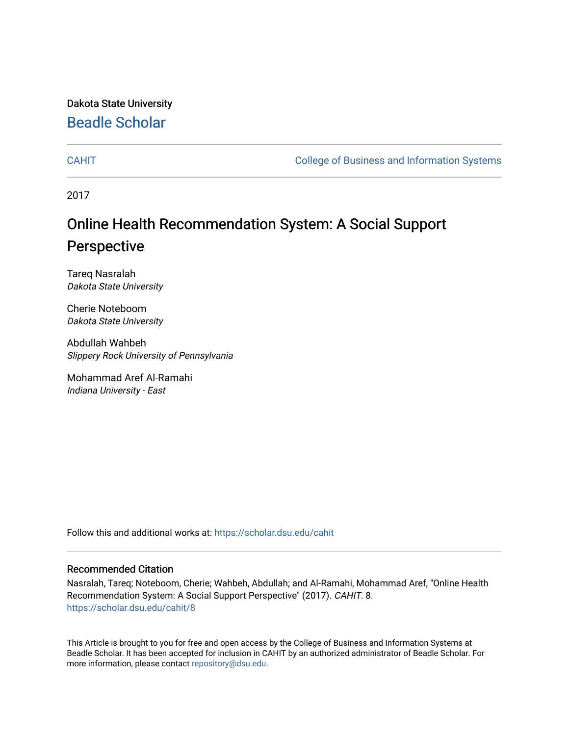Dakota State University [Beadle Scholar](https://scholar.dsu.edu/)

[CAHIT](https://scholar.dsu.edu/cahit) [College of Business and Information Systems](https://scholar.dsu.edu/biscollege) 

2017

## Online Health Recommendation System: A Social Support Perspective

Tareq Nasralah Dakota State University

Cherie Noteboom Dakota State University

Abdullah Wahbeh Slippery Rock University of Pennsylvania

Mohammad Aref Al-Ramahi Indiana University - East

Follow this and additional works at: [https://scholar.dsu.edu/cahit](https://scholar.dsu.edu/cahit?utm_source=scholar.dsu.edu%2Fcahit%2F8&utm_medium=PDF&utm_campaign=PDFCoverPages) 

### Recommended Citation

Nasralah, Tareq; Noteboom, Cherie; Wahbeh, Abdullah; and Al-Ramahi, Mohammad Aref, "Online Health Recommendation System: A Social Support Perspective" (2017). CAHIT. 8. [https://scholar.dsu.edu/cahit/8](https://scholar.dsu.edu/cahit/8?utm_source=scholar.dsu.edu%2Fcahit%2F8&utm_medium=PDF&utm_campaign=PDFCoverPages)

This Article is brought to you for free and open access by the College of Business and Information Systems at Beadle Scholar. It has been accepted for inclusion in CAHIT by an authorized administrator of Beadle Scholar. For more information, please contact [repository@dsu.edu.](mailto:repository@dsu.edu)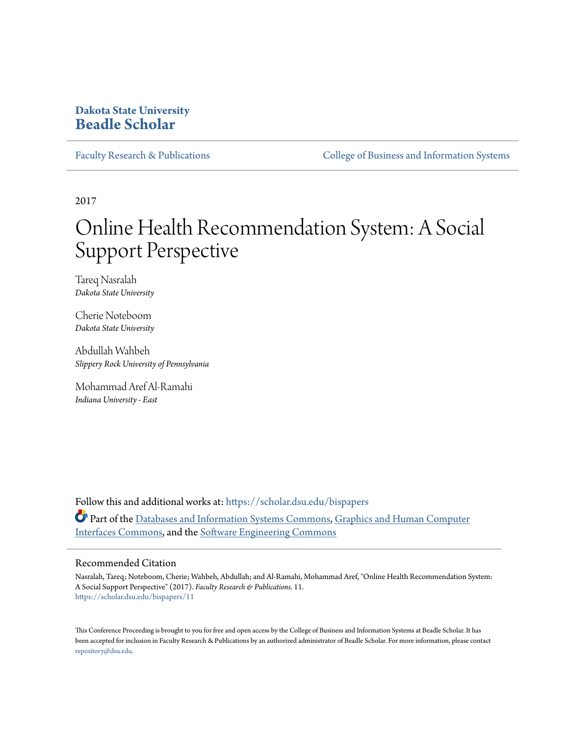### **Dakota State University [Beadle Scholar](https://scholar.dsu.edu?utm_source=scholar.dsu.edu%2Fbispapers%2F11&utm_medium=PDF&utm_campaign=PDFCoverPages)**

[Faculty Research & Publications](https://scholar.dsu.edu/bispapers?utm_source=scholar.dsu.edu%2Fbispapers%2F11&utm_medium=PDF&utm_campaign=PDFCoverPages) [College of Business and Information Systems](https://scholar.dsu.edu/biscollege?utm_source=scholar.dsu.edu%2Fbispapers%2F11&utm_medium=PDF&utm_campaign=PDFCoverPages)

2017

# Online Health Recommendation System: A Social Support Perspective

Tareq Nasralah *Dakota State University*

Cherie Noteboom *Dakota State University*

Abdullah Wahbeh *Slippery Rock University of Pennsylvania*

Mohammad Aref Al-Ramahi *Indiana University - East*

Follow this and additional works at: [https://scholar.dsu.edu/bispapers](https://scholar.dsu.edu/bispapers?utm_source=scholar.dsu.edu%2Fbispapers%2F11&utm_medium=PDF&utm_campaign=PDFCoverPages) Part of the [Databases and Information Systems Commons,](http://network.bepress.com/hgg/discipline/145?utm_source=scholar.dsu.edu%2Fbispapers%2F11&utm_medium=PDF&utm_campaign=PDFCoverPages) [Graphics and Human Computer](http://network.bepress.com/hgg/discipline/146?utm_source=scholar.dsu.edu%2Fbispapers%2F11&utm_medium=PDF&utm_campaign=PDFCoverPages) [Interfaces Commons,](http://network.bepress.com/hgg/discipline/146?utm_source=scholar.dsu.edu%2Fbispapers%2F11&utm_medium=PDF&utm_campaign=PDFCoverPages) and the [Software Engineering Commons](http://network.bepress.com/hgg/discipline/150?utm_source=scholar.dsu.edu%2Fbispapers%2F11&utm_medium=PDF&utm_campaign=PDFCoverPages)

### Recommended Citation

Nasralah, Tareq; Noteboom, Cherie; Wahbeh, Abdullah; and Al-Ramahi, Mohammad Aref, "Online Health Recommendation System: A Social Support Perspective" (2017). *Faculty Research & Publications*. 11. [https://scholar.dsu.edu/bispapers/11](https://scholar.dsu.edu/bispapers/11?utm_source=scholar.dsu.edu%2Fbispapers%2F11&utm_medium=PDF&utm_campaign=PDFCoverPages)

This Conference Proceeding is brought to you for free and open access by the College of Business and Information Systems at Beadle Scholar. It has been accepted for inclusion in Faculty Research & Publications by an authorized administrator of Beadle Scholar. For more information, please contact [repository@dsu.edu.](mailto:repository@dsu.edu)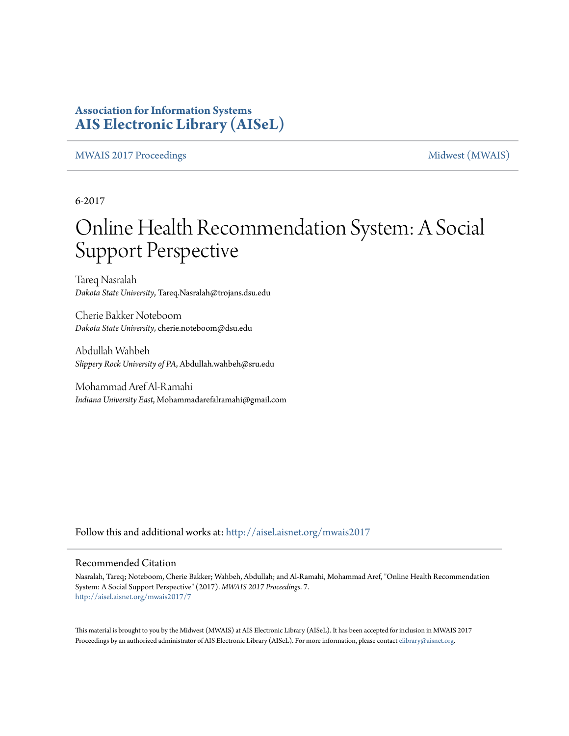### **Association for Information Systems [AIS Electronic Library \(AISeL\)](http://aisel.aisnet.org?utm_source=aisel.aisnet.org%2Fmwais2017%2F7&utm_medium=PDF&utm_campaign=PDFCoverPages)**

[MWAIS 2017 Proceedings](http://aisel.aisnet.org/mwais2017?utm_source=aisel.aisnet.org%2Fmwais2017%2F7&utm_medium=PDF&utm_campaign=PDFCoverPages) and the matrix of the [Midwest \(MWAIS\)](http://aisel.aisnet.org/mwais?utm_source=aisel.aisnet.org%2Fmwais2017%2F7&utm_medium=PDF&utm_campaign=PDFCoverPages)

6-2017

# Online Health Recommendation System: A Social Support Perspective

Tareq Nasralah *Dakota State University*, Tareq.Nasralah@trojans.dsu.edu

Cherie Bakker Noteboom *Dakota State University*, cherie.noteboom@dsu.edu

Abdullah Wahbeh *Slippery Rock University of PA*, Abdullah.wahbeh@sru.edu

Mohammad Aref Al-Ramahi *Indiana University East*, Mohammadarefalramahi@gmail.com

Follow this and additional works at: [http://aisel.aisnet.org/mwais2017](http://aisel.aisnet.org/mwais2017?utm_source=aisel.aisnet.org%2Fmwais2017%2F7&utm_medium=PDF&utm_campaign=PDFCoverPages)

### Recommended Citation

Nasralah, Tareq; Noteboom, Cherie Bakker; Wahbeh, Abdullah; and Al-Ramahi, Mohammad Aref, "Online Health Recommendation System: A Social Support Perspective" (2017). *MWAIS 2017 Proceedings*. 7. [http://aisel.aisnet.org/mwais2017/7](http://aisel.aisnet.org/mwais2017/7?utm_source=aisel.aisnet.org%2Fmwais2017%2F7&utm_medium=PDF&utm_campaign=PDFCoverPages)

This material is brought to you by the Midwest (MWAIS) at AIS Electronic Library (AISeL). It has been accepted for inclusion in MWAIS 2017 Proceedings by an authorized administrator of AIS Electronic Library (AISeL). For more information, please contact [elibrary@aisnet.org](mailto:elibrary@aisnet.org%3E).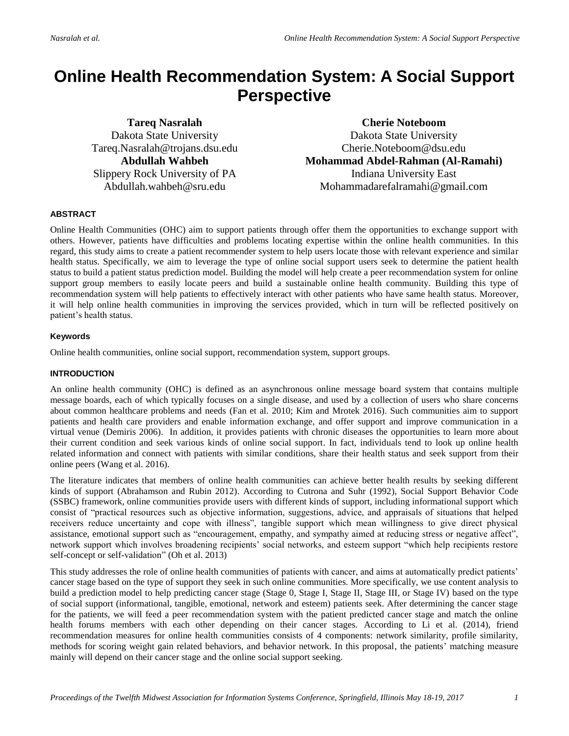## **Online Health Recommendation System: A Social Support Perspective**

**Tareq Nasralah** Dakota State University Tareq.Nasralah@trojans.dsu.edu **Abdullah Wahbeh** Slippery Rock University of PA Abdullah.wahbeh@sru.edu

**Cherie Noteboom** Dakota State University Cherie.Noteboom@dsu.edu **Mohammad Abdel-Rahman (Al-Ramahi)** Indiana University East Mohammadarefalramahi@gmail.com

### **ABSTRACT**

Online Health Communities (OHC) aim to support patients through offer them the opportunities to exchange support with others. However, patients have difficulties and problems locating expertise within the online health communities. In this regard, this study aims to create a patient recommender system to help users locate those with relevant experience and similar health status. Specifically, we aim to leverage the type of online social support users seek to determine the patient health status to build a patient status prediction model. Building the model will help create a peer recommendation system for online support group members to easily locate peers and build a sustainable online health community. Building this type of recommendation system will help patients to effectively interact with other patients who have same health status. Moreover, it will help online health communities in improving the services provided, which in turn will be reflected positively on patient's health status.

### **Keywords**

Online health communities, online social support, recommendation system, support groups.

### **INTRODUCTION**

An online health community (OHC) is defined as an asynchronous online message board system that contains multiple message boards, each of which typically focuses on a single disease, and used by a collection of users who share concerns about common healthcare problems and needs (Fan et al. 2010; Kim and Mrotek 2016). Such communities aim to support patients and health care providers and enable information exchange, and offer support and improve communication in a virtual venue (Demiris 2006). In addition, it provides patients with chronic diseases the opportunities to learn more about their current condition and seek various kinds of online social support. In fact, individuals tend to look up online health related information and connect with patients with similar conditions, share their health status and seek support from their online peers (Wang et al. 2016).

The literature indicates that members of online health communities can achieve better health results by seeking different kinds of support (Abrahamson and Rubin 2012). According to Cutrona and Suhr (1992), Social Support Behavior Code (SSBC) framework, online communities provide users with different kinds of support, including informational support which consist of "practical resources such as objective information, suggestions, advice, and appraisals of situations that helped receivers reduce uncertainty and cope with illness", tangible support which mean willingness to give direct physical assistance, emotional support such as "encouragement, empathy, and sympathy aimed at reducing stress or negative affect", network support which involves broadening recipients' social networks, and esteem support "which help recipients restore self-concept or self-validation" (Oh et al. 2013)

This study addresses the role of online health communities of patients with cancer, and aims at automatically predict patients' cancer stage based on the type of support they seek in such online communities. More specifically, we use content analysis to build a prediction model to help predicting cancer stage (Stage 0, Stage I, Stage II, Stage III, or Stage IV) based on the type of social support (informational, tangible, emotional, network and esteem) patients seek. After determining the cancer stage for the patients, we will feed a peer recommendation system with the patient predicted cancer stage and match the online health forums members with each other depending on their cancer stages. According to Li et al. (2014), friend recommendation measures for online health communities consists of 4 components: network similarity, profile similarity, methods for scoring weight gain related behaviors, and behavior network. In this proposal, the patients' matching measure mainly will depend on their cancer stage and the online social support seeking.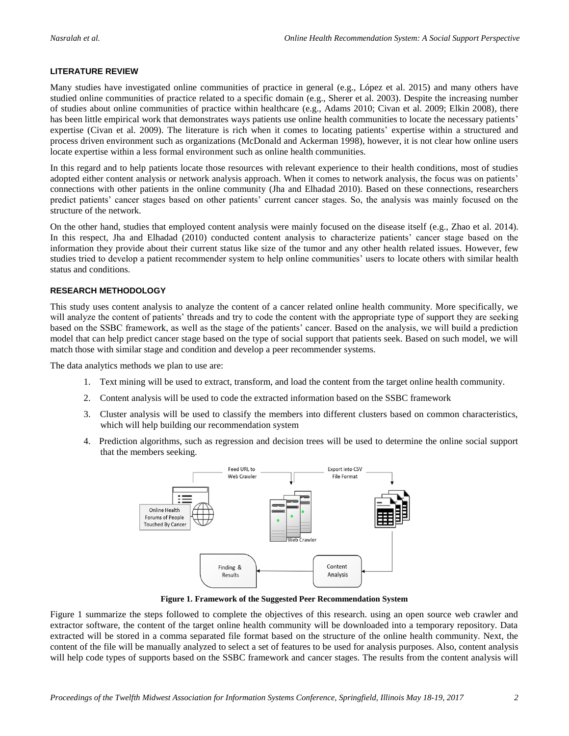### **LITERATURE REVIEW**

Many studies have investigated online communities of practice in general (e.g., López et al. 2015) and many others have studied online communities of practice related to a specific domain (e.g., Sherer et al. 2003). Despite the increasing number of studies about online communities of practice within healthcare (e.g., Adams 2010; Civan et al. 2009; Elkin 2008), there has been little empirical work that demonstrates ways patients use online health communities to locate the necessary patients' expertise (Civan et al. 2009). The literature is rich when it comes to locating patients' expertise within a structured and process driven environment such as organizations (McDonald and Ackerman 1998), however, it is not clear how online users locate expertise within a less formal environment such as online health communities.

In this regard and to help patients locate those resources with relevant experience to their health conditions, most of studies adopted either content analysis or network analysis approach. When it comes to network analysis, the focus was on patients' connections with other patients in the online community (Jha and Elhadad 2010). Based on these connections, researchers predict patients' cancer stages based on other patients' current cancer stages. So, the analysis was mainly focused on the structure of the network.

On the other hand, studies that employed content analysis were mainly focused on the disease itself (e.g., Zhao et al. 2014). In this respect, Jha and Elhadad (2010) conducted content analysis to characterize patients' cancer stage based on the information they provide about their current status like size of the tumor and any other health related issues. However, few studies tried to develop a patient recommender system to help online communities' users to locate others with similar health status and conditions.

### **RESEARCH METHODOLOGY**

This study uses content analysis to analyze the content of a cancer related online health community. More specifically, we will analyze the content of patients' threads and try to code the content with the appropriate type of support they are seeking based on the SSBC framework, as well as the stage of the patients' cancer. Based on the analysis, we will build a prediction model that can help predict cancer stage based on the type of social support that patients seek. Based on such model, we will match those with similar stage and condition and develop a peer recommender systems.

The data analytics methods we plan to use are:

- 1. Text mining will be used to extract, transform, and load the content from the target online health community.
- 2. Content analysis will be used to code the extracted information based on the SSBC framework
- 3. Cluster analysis will be used to classify the members into different clusters based on common characteristics, which will help building our recommendation system
- 4. Prediction algorithms, such as regression and decision trees will be used to determine the online social support that the members seeking.



**Figure 1. Framework of the Suggested Peer Recommendation System**

Figure 1 summarize the steps followed to complete the objectives of this research. using an open source web crawler and extractor software, the content of the target online health community will be downloaded into a temporary repository. Data extracted will be stored in a comma separated file format based on the structure of the online health community. Next, the content of the file will be manually analyzed to select a set of features to be used for analysis purposes. Also, content analysis will help code types of supports based on the SSBC framework and cancer stages. The results from the content analysis will